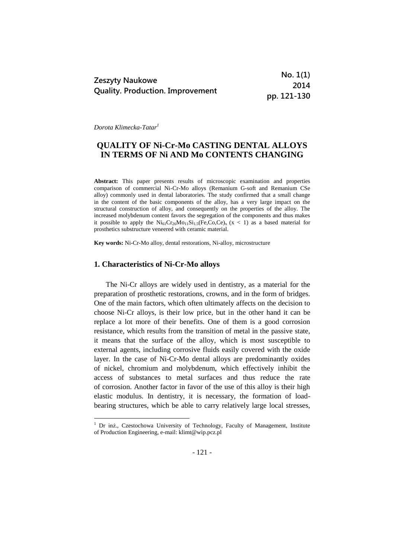|                                         | No. 1(1)    |
|-----------------------------------------|-------------|
| <b>Zeszyty Naukowe</b>                  | 2014        |
| <b>Quality. Production. Improvement</b> | pp. 121-130 |

*Dorota Klimecka-Tatar<sup>1</sup>*

1

# **QUALITY OF Ni-Cr-Mo CASTING DENTAL ALLOYS IN TERMS OF Ni AND Mo CONTENTS CHANGING**

**Abstract:** This paper presents results of microscopic examination and properties comparison of commercial Ni-Cr-Mo alloys (Remanium G-soft and Remanium CSe alloy) commonly used in dental laboratories. The study confirmed that a small change in the content of the basic components of the alloy, has a very large impact on the structural construction of alloy, and consequently on the properties of the alloy. The increased molybdenum content favors the segregation of the components and thus makes it possible to apply the  $Ni<sub>61</sub>Cr<sub>26</sub>Mo<sub>11</sub>Si<sub>1.5</sub>(Fe, Co, Ce)<sub>x</sub> (x < 1)$  as a based material for prosthetics substructure veneered with ceramic material.

**Key words:** Ni-Cr-Mo alloy, dental restorations, Ni-alloy, microstructure

#### **1. Characteristics of Ni-Cr-Mo alloys**

The Ni-Cr alloys are widely used in dentistry, as a material for the preparation of prosthetic restorations, crowns, and in the form of bridges. One of the main factors, which often ultimately affects on the decision to choose Ni-Cr alloys, is their low price, but in the other hand it can be replace a lot more of their benefits. One of them is a good corrosion resistance, which results from the transition of metal in the passive state, it means that the surface of the alloy, which is most susceptible to external agents, including corrosive fluids easily covered with the oxide layer. In the case of Ni-Cr-Mo dental alloys are predominantly oxides of nickel, chromium and molybdenum, which effectively inhibit the access of substances to metal surfaces and thus reduce the rate of corrosion. Another factor in favor of the use of this alloy is their high elastic modulus. In dentistry, it is necessary, the formation of loadbearing structures, which be able to carry relatively large local stresses,

<sup>&</sup>lt;sup>1</sup> Dr inż., Czestochowa University of Technology, Faculty of Management, Institute of Production Engineering, e-mail: klimt@wip.pcz.pl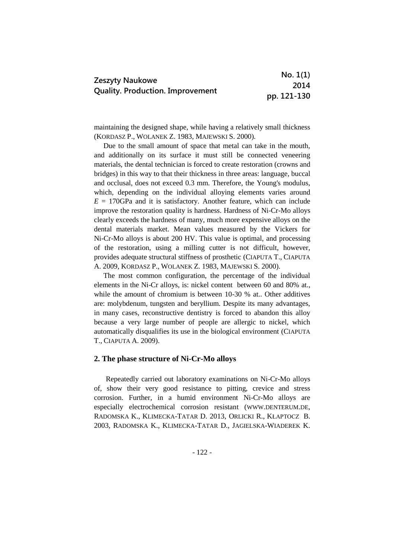|                                         | No. 1(1)    |
|-----------------------------------------|-------------|
| Zeszyty Naukowe                         | 2014        |
| <b>Quality. Production. Improvement</b> | pp. 121-130 |

maintaining the designed shape, while having a relatively small thickness (KORDASZ P., WOLANEK Z. 1983, MAJEWSKI S. 2000).

Due to the small amount of space that metal can take in the mouth, and additionally on its surface it must still be connected veneering materials, the dental technician is forced to create restoration (crowns and bridges) in this way to that their thickness in three areas: language, buccal and occlusal, does not exceed 0.3 mm. Therefore, the Young's modulus, which, depending on the individual alloying elements varies around  $E = 170$ GPa and it is satisfactory. Another feature, which can include improve the restoration quality is hardness. Hardness of Ni-Cr-Mo alloys clearly exceeds the hardness of many, much more expensive alloys on the dental materials market. Mean values measured by the Vickers for Ni-Cr-Mo alloys is about 200 HV. This value is optimal, and processing of the restoration, using a milling cutter is not difficult, however, provides adequate structural stiffness of prosthetic (CIAPUTA T., CIAPUTA A. 2009, KORDASZ P., WOLANEK Z. 1983, MAJEWSKI S. 2000).

The most common configuration, the percentage of the individual elements in the Ni-Cr alloys, is: nickel content between 60 and 80% at., while the amount of chromium is between 10-30 % at.. Other additives are: molybdenum, tungsten and beryllium. Despite its many advantages, in many cases, reconstructive dentistry is forced to abandon this alloy because a very large number of people are allergic to nickel, which automatically disqualifies its use in the biological environment (CIAPUTA T., CIAPUTA A. 2009).

### **2. The phase structure of Ni-Cr-Mo alloys**

Repeatedly carried out laboratory examinations on Ni-Cr-Mo alloys of, show their very good resistance to pitting, crevice and stress corrosion. Further, in a humid environment Ni-Cr-Mo alloys are especially electrochemical corrosion resistant (WWW.DENTERUM.DE, RADOMSKA K., KLIMECKA-TATAR D. 2013, ORLICKI R., KŁAPTOCZ B. 2003, RADOMSKA K., KLIMECKA-TATAR D., JAGIELSKA-WIADEREK K.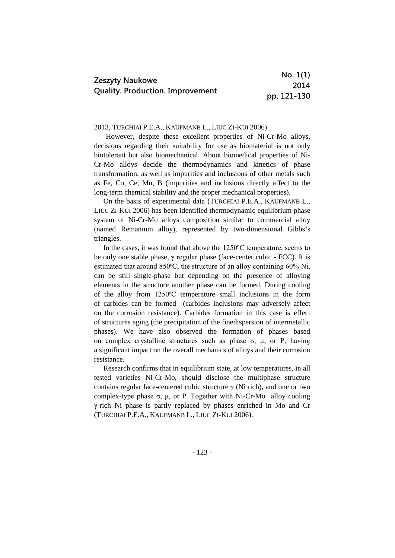|                                                                   | No. 1(1)    |
|-------------------------------------------------------------------|-------------|
| <b>Zeszyty Naukowe</b><br><b>Quality. Production. Improvement</b> | 2014        |
|                                                                   | pp. 121-130 |

### 2013, TURCHIAI P.E.A., KAUFMANB L., LIUC ZI-KUI 2006).

However, despite these excellent properties of Ni-Cr-Mo alloys, decisions regarding their suitability for use as biomaterial is not only biotolerant but also biomechanical. About biomedical properties of Ni-Cr-Mo alloys decide the thermodynamics and kinetics of phase transformation, as well as impurities and inclusions of other metals such as Fe, Co, Ce, Mn, B (impurities and inclusions directly affect to the long-term chemical stability and the proper mechanical properties).

On the basis of experimental data (TURCHIAI P.E.A., KAUFMANB L., LIUC ZI-KUI 2006) has been identified thermodynamic equilibrium phase system of Ni-Cr-Mo alloys composition similar to commercial alloy (named Remanium alloy), represented by two-dimensional Gibbs's triangles.

In the cases, it was found that above the 1250ºC temperature, seems to be only one stable phase, γ regular phase (face-center cubic - FCC). It is estimated that around 850ºC, the structure of an alloy containing 60% Ni, can be still single-phase but depending on the presence of alloying elements in the structure another phase can be formed. During cooling of the alloy from 1250ºC temperature small inclusions in the form of carbides can be formed (carbides inclusions may adversely affect on the corrosion resistance). Carbides formation in this case is effect of structures aging (the precipitation of the finedispersion of intermetallic phases). We have also observed the formation of phases based on complex crystalline structures such as phase  $\sigma$ ,  $\mu$ , or P, having a significant impact on the overall mechanics of alloys and their corrosion resistance.

Research confirms that in equilibrium state, at low temperatures, in all tested varieties Ni-Cr-Mo, should disclose the multiphase structure contains regular face-centered cubic structure  $\gamma$  (Ni rich), and one or two complex-type phase σ, μ, or P. Together with Ni-Cr-Mo alloy cooling γ-rich Ni phase is partly replaced by phases enriched in Mo and Cr (TURCHIAI P.E.A., KAUFMANB L., LIUC ZI-KUI 2006).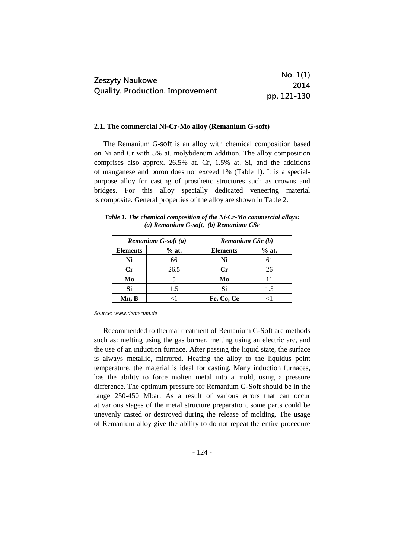|                                         | No. 1(1)    |
|-----------------------------------------|-------------|
| Zeszyty Naukowe                         | 2014        |
| <b>Quality. Production. Improvement</b> | pp. 121-130 |

#### **2.1. The commercial Ni-Cr-Mo alloy (Remanium G-soft)**

The Remanium G-soft is an alloy with chemical composition based on Ni and Cr with 5% at. molybdenum addition. The alloy composition comprises also approx. 26.5% at. Cr, 1.5% at. Si, and the additions of manganese and boron does not exceed 1% (Table 1). It is a specialpurpose alloy for casting of prosthetic structures such as crowns and bridges. For this alloy specially dedicated veneering material is composite. General properties of the alloy are shown in Table 2.

*Table 1. The chemical composition of the Ni-Cr-Mo commercial alloys: (a) Remanium G-soft, (b) Remanium CSe*

|                 | Remanium G-soft (a) | Remanium CSe (b) |         |
|-----------------|---------------------|------------------|---------|
| <b>Elements</b> | $%$ at.             | <b>Elements</b>  | $%$ at. |
| Ni              | 66                  | Ni               |         |
| $\mathbf{C}$ r  | 26.5                | $\mathbf{C}$ r   | 26      |
| Mo              |                     | Mo               | 11      |
| Si              | 1.5                 | Si               | 1.5     |
| Mn, B           | -1                  | Fe, Co, Ce       |         |

*Source: www.denterum.de*

Recommended to thermal treatment of Remanium G-Soft are methods such as: melting using the gas burner, melting using an electric arc, and the use of an induction furnace. After passing the liquid state, the surface is always metallic, mirrored. Heating the alloy to the liquidus point temperature, the material is ideal for casting. Many induction furnaces, has the ability to force molten metal into a mold, using a pressure difference. The optimum pressure for Remanium G-Soft should be in the range 250-450 Mbar. As a result of various errors that can occur at various stages of the metal structure preparation, some parts could be unevenly casted or destroyed during the release of molding. The usage of Remanium alloy give the ability to do not repeat the entire procedure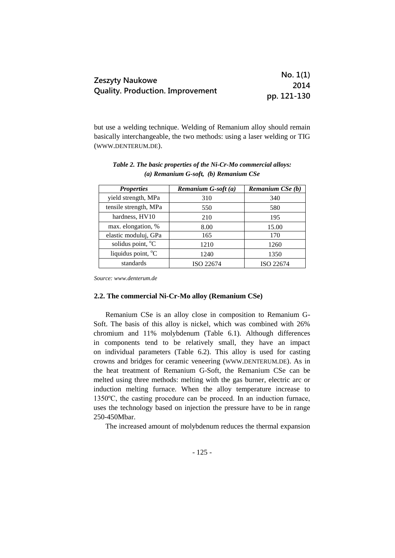|                                         | No. 1(1)    |
|-----------------------------------------|-------------|
| <b>Zeszyty Naukowe</b>                  | 2014        |
| <b>Quality. Production. Improvement</b> | pp. 121-130 |

but use a welding technique. Welding of Remanium alloy should remain basically interchangeable, the two methods: using a laser welding or TIG (WWW.DENTERUM.DE).

| <b>Properties</b>              | Remanium G-soft (a) | Remanium CSe (b) |
|--------------------------------|---------------------|------------------|
| yield strength, MPa            | 310                 | 340              |
| tensile strength, MPa          | 550                 | 580              |
| hardness, HV10                 | 210                 | 195              |
| max. elongation, %             | 8.00                | 15.00            |
| elastic moduluj, GPa           | 165                 | 170              |
| solidus point, °C              | 1210                | 1260             |
| liquidus point, <sup>o</sup> C | 1240                | 1350             |
| standards                      | ISO 22674           | ISO 22674        |

*Table 2. The basic properties of the Ni-Cr-Mo commercial alloys: (a) Remanium G-soft, (b) Remanium CSe* 

*Source: www.denterum.de*

### **2.2. The commercial Ni-Cr-Mo alloy (Remanium CSe)**

Remanium CSe is an alloy close in composition to Remanium G-Soft. The basis of this alloy is nickel, which was combined with 26% chromium and 11% molybdenum (Table 6.1). Although differences in components tend to be relatively small, they have an impact on individual parameters (Table 6.2). This alloy is used for casting crowns and bridges for ceramic veneering (WWW.DENTERUM.DE). As in the heat treatment of Remanium G-Soft, the Remanium CSe can be melted using three methods: melting with the gas burner, electric arc or induction melting furnace. When the alloy temperature increase to 1350ºC, the casting procedure can be proceed. In an induction furnace, uses the technology based on injection the pressure have to be in range 250-450Mbar.

The increased amount of molybdenum reduces the thermal expansion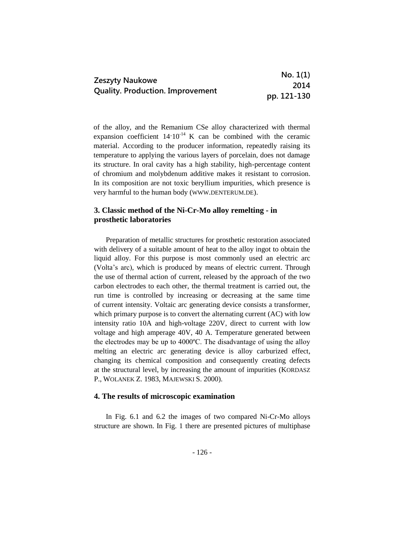|                                         | No. 1(1)    |
|-----------------------------------------|-------------|
| Zeszyty Naukowe                         | 2014        |
| <b>Quality. Production. Improvement</b> | pp. 121-130 |

of the alloy, and the Remanium CSe alloy characterized with thermal expansion coefficient  $14.10^{-14}$  K can be combined with the ceramic material. According to the producer information, repeatedly raising its temperature to applying the various layers of porcelain, does not damage its structure. In oral cavity has a high stability, high-percentage content of chromium and molybdenum additive makes it resistant to corrosion. In its composition are not toxic beryllium impurities, which presence is very harmful to the human body (WWW.DENTERUM.DE).

## **3. Classic method of the Ni-Cr-Mo alloy remelting - in prosthetic laboratories**

Preparation of metallic structures for prosthetic restoration associated with delivery of a suitable amount of heat to the alloy ingot to obtain the liquid alloy. For this purpose is most commonly used an electric arc (Volta's arc), which is produced by means of electric current. Through the use of thermal action of current, released by the approach of the two carbon electrodes to each other, the thermal treatment is carried out, the run time is controlled by increasing or decreasing at the same time of current intensity. Voltaic arc generating device consists a transformer, which primary purpose is to convert the alternating current (AC) with low intensity ratio 10A and high-voltage 220V, direct to current with low voltage and high amperage 40V, 40 A. Temperature generated between the electrodes may be up to 4000ºC. The disadvantage of using the alloy melting an electric arc generating device is alloy carburized effect, changing its chemical composition and consequently creating defects at the structural level, by increasing the amount of impurities (KORDASZ P., WOLANEK Z. 1983, MAJEWSKI S. 2000).

### **4. The results of microscopic examination**

In Fig. 6.1 and 6.2 the images of two compared Ni-Cr-Mo alloys structure are shown. In Fig. 1 there are presented pictures of multiphase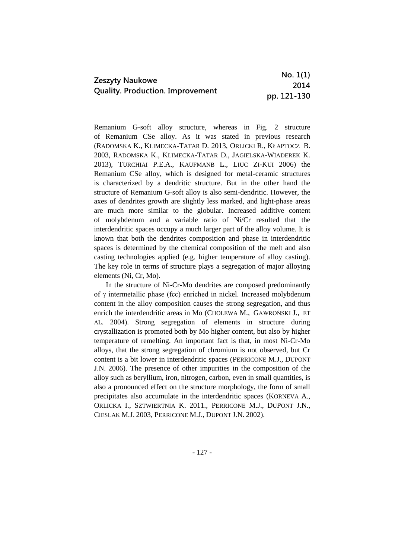|                                         | No. 1(1)    |
|-----------------------------------------|-------------|
| Zeszyty Naukowe                         | 2014        |
| <b>Quality. Production. Improvement</b> | pp. 121-130 |

Remanium G-soft alloy structure, whereas in Fig. 2 structure of Remanium CSe alloy. As it was stated in previous research (RADOMSKA K., KLIMECKA-TATAR D. 2013, ORLICKI R., KŁAPTOCZ B. 2003, RADOMSKA K., KLIMECKA-TATAR D., JAGIELSKA-WIADEREK K. 2013), TURCHIAI P.E.A., KAUFMANB L., LIUC ZI-KUI 2006) the Remanium CSe alloy, which is designed for metal-ceramic structures is characterized by a dendritic structure. But in the other hand the structure of Remanium G-soft alloy is also semi-dendritic. However, the axes of dendrites growth are slightly less marked, and light-phase areas are much more similar to the globular. Increased additive content of molybdenum and a variable ratio of Ni/Cr resulted that the interdendritic spaces occupy a much larger part of the alloy volume. It is known that both the dendrites composition and phase in interdendritic spaces is determined by the chemical composition of the melt and also casting technologies applied (e.g. higher temperature of alloy casting). The key role in terms of structure plays a segregation of major alloying elements (Ni, Cr, Mo).

In the structure of Ni-Cr-Mo dendrites are composed predominantly of γ intermetallic phase (fcc) enriched in nickel. Increased molybdenum content in the alloy composition causes the strong segregation, and thus enrich the interdendritic areas in Mo (CHOLEWA M., GAWROŃSKI J., ET AL. 2004). Strong segregation of elements in structure during crystallization is promoted both by Mo higher content, but also by higher temperature of remelting. An important fact is that, in most Ni-Cr-Mo alloys, that the strong segregation of chromium is not observed, but Cr content is a bit lower in interdendritic spaces (PERRICONE M.J., DUPONT J.N. 2006). The presence of other impurities in the composition of the alloy such as beryllium, iron, nitrogen, carbon, even in small quantities, is also a pronounced effect on the structure morphology, the form of small precipitates also accumulate in the interdendritic spaces (KORNEVA A., ORLICKA I., SZTWIERTNIA K. 2011., PERRICONE M.J., DUPONT J.N., CIESLAK M.J. 2003, PERRICONE M.J., DUPONT J.N. 2002).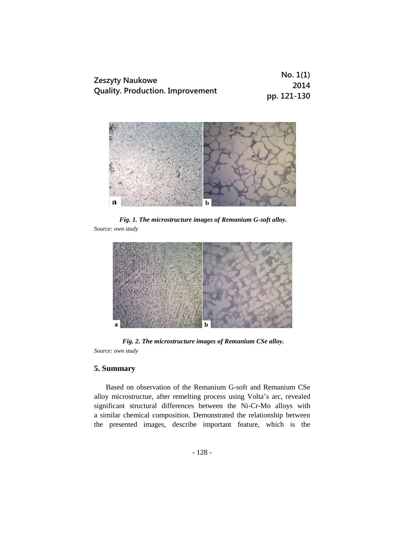|                                         | No. 1(1)    |
|-----------------------------------------|-------------|
| <b>Zeszyty Naukowe</b>                  | 2014        |
| <b>Quality. Production. Improvement</b> | pp. 121-130 |



*Fig. 1. The microstructure images of Remanium G-soft alloy. Source: own study*



*Fig. 2. The microstructure images of Remanium CSe alloy. Source: own study*

## **5. Summary**

Based on observation of the Remanium G-soft and Remanium CSe alloy microstructue, after remelting process using Volta's arc, revealed significant structural differences between the Ni-Cr-Mo alloys with a similar chemical composition. Demonstrated the relationship between the presented images, describe important feature, which is the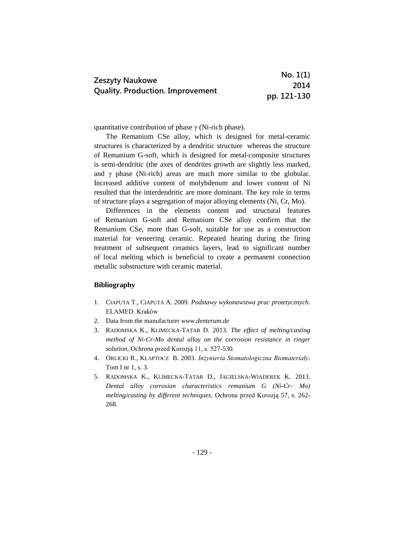|                                                                   | No. 1(1)    |
|-------------------------------------------------------------------|-------------|
| <b>Zeszyty Naukowe</b><br><b>Quality. Production. Improvement</b> | 2014        |
|                                                                   | pp. 121-130 |

quantitative contribution of phase  $\gamma$  (Ni-rich phase).

The Remanium CSe alloy, which is designed for metal-ceramic structures is characterized by a dendritic structure whereas the structure of Remanium G-soft, which is designed for metal-composite structures is semi-dendritic (the axes of dendrites growth are slightly less marked, and  $\gamma$  phase (Ni-rich) areas are much more similar to the globular. Increased additive content of molybdenum and lower content of Ni resulted that the interdendritic are more dominant. The key role in terms of structure plays a segregation of major alloying elements (Ni, Cr, Mo).

Differences in the elements content and structural features of Remanium G-soft and Remanium CSe alloy confirm that the Remanium CSe, more than G-soft, suitable for use as a construction material for veneering ceramic. Repeated heating during the firing treatment of subsequent ceramics layers, lead to significant number of local melting which is beneficial to create a permanent connection metallic substructure with ceramic material.

#### **Bibliography**

- 1. CIAPUTA T., CIAPUTA A. 2009. *Podstawy wykonawstwa prac protetycznych*. ELAMED. Kraków
- 2. Data from the manufacturer *www.denterum.de*
- 3. RADOMSKA K., KLIMECKA-TATAR D. 2013. *The effect of melting/casting method of Ni-Cr-Mo dental alloy on the corrosion resistance in ringer solution*, Ochrona przed Korozją 11, s. 527-530.
- 4. ORLICKI R., KŁAPTOCZ B. 2003. *Inżynieria Stomatologiczna Biomateriały*. Tom I nr 1, s. 3.
- 5. RADOMSKA K., KLIMECKA-TATAR D., JAGIELSKA-WIADEREK K. 2013. *Dental alloy corrosion characteristics remanium G (Ni-Cr- Mo) melting/casting by different techniques*, Ochrona przed Korozją 57, s. 262- 268.